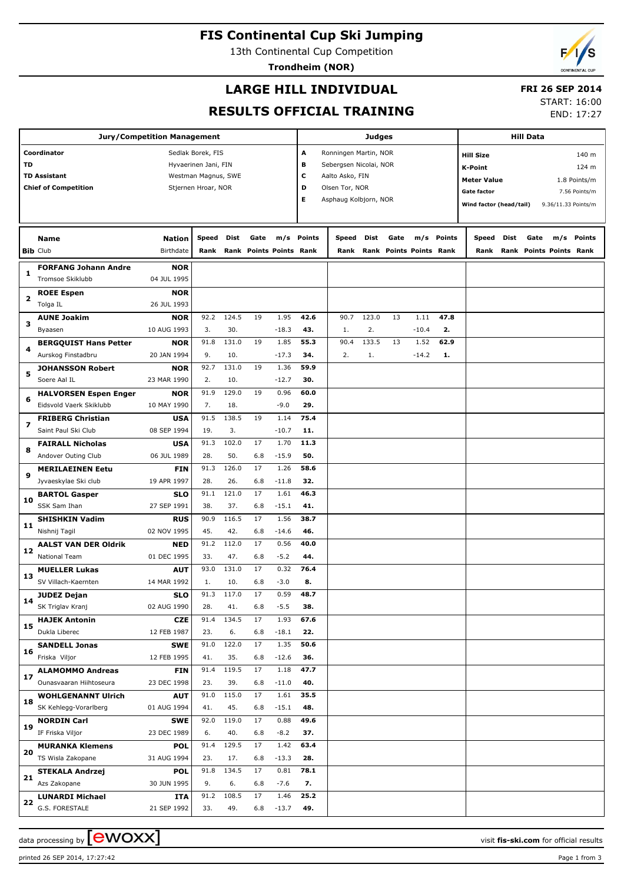# **FIS Continental Cup Ski Jumping**

13th Continental Cup Competition

**Trondheim (NOR)**

## **LARGE HILL INDIVIDUAL**

## **FRI 26 SEP 2014**

**RESULTS OFFICIAL TRAINING**

START: 16:00 END: 17:27

| Jury/Competition Management      |                                                         |               |                      |       |      |                         |               |                        | <b>Judges</b> |      |                         | <b>Hill Data</b> |                         |      |      |                         |               |
|----------------------------------|---------------------------------------------------------|---------------|----------------------|-------|------|-------------------------|---------------|------------------------|---------------|------|-------------------------|------------------|-------------------------|------|------|-------------------------|---------------|
| Coordinator<br>Sedlak Borek, FIS |                                                         |               |                      |       |      |                         | A             | Ronningen Martin, NOR  |               |      |                         |                  | <b>Hill Size</b>        |      |      |                         | 140 m         |
| TD                               |                                                         |               | Hyvaerinen Jani, FIN |       |      |                         | в             | Sebergsen Nicolai, NOR |               |      |                         |                  | <b>K-Point</b>          |      |      |                         | 124 m         |
|                                  | <b>TD Assistant</b>                                     |               | Westman Magnus, SWE  |       |      |                         | c             | Aalto Asko, FIN        |               |      |                         |                  |                         |      |      |                         |               |
|                                  | <b>Chief of Competition</b>                             |               | Stjernen Hroar, NOR  |       |      |                         | D             | Olsen Tor, NOR         |               |      |                         |                  | <b>Meter Value</b>      |      |      |                         | 1.8 Points/m  |
|                                  |                                                         |               |                      |       |      |                         | Е             | Asphaug Kolbjorn, NOR  |               |      |                         |                  | <b>Gate factor</b>      |      |      |                         | 7.56 Points/m |
|                                  |                                                         |               |                      |       |      |                         |               |                        |               |      |                         |                  | Wind factor (head/tail) |      |      | 9.36/11.33 Points/m     |               |
|                                  |                                                         |               |                      |       |      |                         |               |                        |               |      |                         |                  |                         |      |      |                         |               |
|                                  | Name                                                    | <b>Nation</b> | Speed                | Dist  | Gate | m/s                     | <b>Points</b> | Speed                  | Dist          | Gate |                         | m/s Points       | Speed                   | Dist | Gate |                         | m/s Points    |
|                                  | <b>Bib Club</b>                                         | Birthdate     | Rank                 |       |      | Rank Points Points Rank |               | Rank                   |               |      | Rank Points Points Rank |                  | Rank                    |      |      | Rank Points Points Rank |               |
|                                  | <b>FORFANG Johann Andre</b>                             | <b>NOR</b>    |                      |       |      |                         |               |                        |               |      |                         |                  |                         |      |      |                         |               |
| 1                                | Tromsoe Skiklubb                                        | 04 JUL 1995   |                      |       |      |                         |               |                        |               |      |                         |                  |                         |      |      |                         |               |
|                                  | <b>ROEE Espen</b>                                       | <b>NOR</b>    |                      |       |      |                         |               |                        |               |      |                         |                  |                         |      |      |                         |               |
| 2                                | Tolga IL                                                | 26 JUL 1993   |                      |       |      |                         |               |                        |               |      |                         |                  |                         |      |      |                         |               |
|                                  | <b>AUNE Joakim</b>                                      | <b>NOR</b>    | 92.2                 | 124.5 | 19   | 1.95                    | 42.6          | 90.7                   | 123.0         | 13   | 1.11                    | 47.8             |                         |      |      |                         |               |
| з                                | Byaasen                                                 | 10 AUG 1993   | 3.                   | 30.   |      | $-18.3$                 | 43.           | 1.                     | 2.            |      | $-10.4$                 | 2.               |                         |      |      |                         |               |
|                                  | <b>BERGQUIST Hans Petter</b>                            | <b>NOR</b>    | 91.8                 | 131.0 | 19   | 1.85                    | 55.3          | 90.4                   | 133.5         | 13   | 1.52                    | 62.9             |                         |      |      |                         |               |
| 4                                | Aurskog Finstadbru                                      | 20 JAN 1994   | 9.                   | 10.   |      | $-17.3$                 | 34.           | 2.                     | 1.            |      | $-14.2$                 | 1.               |                         |      |      |                         |               |
|                                  | <b>JOHANSSON Robert</b>                                 | <b>NOR</b>    | 92.7                 | 131.0 | 19   | 1.36                    | 59.9          |                        |               |      |                         |                  |                         |      |      |                         |               |
| 5                                | Soere Aal IL                                            | 23 MAR 1990   | 2.                   | 10.   |      | $-12.7$                 | 30.           |                        |               |      |                         |                  |                         |      |      |                         |               |
|                                  |                                                         | <b>NOR</b>    | 91.9                 | 129.0 | 19   | 0.96                    | 60.0          |                        |               |      |                         |                  |                         |      |      |                         |               |
| 6                                | <b>HALVORSEN Espen Enger</b><br>Eidsvold Vaerk Skiklubb | 10 MAY 1990   | 7.                   | 18.   |      | $-9.0$                  | 29.           |                        |               |      |                         |                  |                         |      |      |                         |               |
|                                  |                                                         |               |                      |       |      |                         |               |                        |               |      |                         |                  |                         |      |      |                         |               |
| 7                                | <b>FRIBERG Christian</b>                                | <b>USA</b>    | 91.5                 | 138.5 | 19   | 1.14                    | 75.4          |                        |               |      |                         |                  |                         |      |      |                         |               |
|                                  | Saint Paul Ski Club                                     | 08 SEP 1994   | 19.                  | 3.    |      | $-10.7$                 | 11.           |                        |               |      |                         |                  |                         |      |      |                         |               |
| 8                                | <b>FAIRALL Nicholas</b>                                 | <b>USA</b>    | 91.3                 | 102.0 | 17   | 1.70                    | 11.3          |                        |               |      |                         |                  |                         |      |      |                         |               |
|                                  | Andover Outing Club                                     | 06 JUL 1989   | 28.                  | 50.   | 6.8  | $-15.9$                 | 50.           |                        |               |      |                         |                  |                         |      |      |                         |               |
| 9                                | <b>MERILAEINEN Eetu</b>                                 | FIN           | 91.3                 | 126.0 | 17   | 1.26                    | 58.6          |                        |               |      |                         |                  |                         |      |      |                         |               |
|                                  | Jyvaeskylae Ski club                                    | 19 APR 1997   | 28.                  | 26.   | 6.8  | $-11.8$                 | 32.           |                        |               |      |                         |                  |                         |      |      |                         |               |
| 10                               | <b>BARTOL Gasper</b>                                    | <b>SLO</b>    | 91.1                 | 121.0 | 17   | 1.61                    | 46.3          |                        |               |      |                         |                  |                         |      |      |                         |               |
|                                  | SSK Sam Ihan                                            | 27 SEP 1991   | 38.                  | 37.   | 6.8  | $-15.1$                 | 41.           |                        |               |      |                         |                  |                         |      |      |                         |               |
| 11                               | <b>SHISHKIN Vadim</b>                                   | <b>RUS</b>    | 90.9                 | 116.5 | 17   | 1.56                    | 38.7          |                        |               |      |                         |                  |                         |      |      |                         |               |
|                                  | Nishnij Tagil                                           | 02 NOV 1995   | 45.                  | 42.   | 6.8  | $-14.6$                 | 46.           |                        |               |      |                         |                  |                         |      |      |                         |               |
| 12                               | <b>AALST VAN DER Oldrik</b>                             | <b>NED</b>    | 91.2                 | 112.0 | 17   | 0.56                    | 40.0          |                        |               |      |                         |                  |                         |      |      |                         |               |
|                                  | <b>National Team</b>                                    | 01 DEC 1995   | 33.                  | 47.   | 6.8  | $-5.2$                  | 44.           |                        |               |      |                         |                  |                         |      |      |                         |               |
| 13                               | <b>MUELLER Lukas</b>                                    | <b>AUT</b>    | 93.0                 | 131.0 | 17   | 0.32                    | 76.4          |                        |               |      |                         |                  |                         |      |      |                         |               |
|                                  | SV Villach-Kaernten                                     | 14 MAR 1992   | 1.                   | 10.   | 6.8  | $-3.0$                  | 8.            |                        |               |      |                         |                  |                         |      |      |                         |               |
| 14                               | <b>JUDEZ Dejan</b>                                      | <b>SLO</b>    | 91.3                 | 117.0 | 17   | 0.59                    | 48.7          |                        |               |      |                         |                  |                         |      |      |                         |               |
|                                  | SK Triglav Kranj                                        | 02 AUG 1990   | 28.                  | 41.   | 6.8  | $-5.5$                  | 38.           |                        |               |      |                         |                  |                         |      |      |                         |               |
| 15                               | <b>HAJEK Antonin</b>                                    | <b>CZE</b>    | 91.4                 | 134.5 | 17   | 1.93                    | 67.6          |                        |               |      |                         |                  |                         |      |      |                         |               |
|                                  | Dukla Liberec                                           | 12 FEB 1987   | 23.                  | 6.    | 6.8  | $-18.1$                 | 22.           |                        |               |      |                         |                  |                         |      |      |                         |               |
| 16                               | <b>SANDELL Jonas</b>                                    | <b>SWE</b>    | 91.0                 | 122.0 | 17   | 1.35                    | 50.6          |                        |               |      |                         |                  |                         |      |      |                         |               |
|                                  | Friska Viljor                                           | 12 FEB 1995   | 41.                  | 35.   | 6.8  | $-12.6$                 | 36.           |                        |               |      |                         |                  |                         |      |      |                         |               |
| 17                               | <b>ALAMOMMO Andreas</b>                                 | <b>FIN</b>    | 91.4                 | 119.5 | 17   | 1.18                    | 47.7          |                        |               |      |                         |                  |                         |      |      |                         |               |
|                                  | Ounasvaaran Hiihtoseura                                 | 23 DEC 1998   | 23.                  | 39.   | 6.8  | $-11.0$                 | 40.           |                        |               |      |                         |                  |                         |      |      |                         |               |
| 18                               | <b>WOHLGENANNT Ulrich</b>                               | <b>AUT</b>    | 91.0                 | 115.0 | 17   | 1.61                    | 35.5          |                        |               |      |                         |                  |                         |      |      |                         |               |
|                                  | SK Kehlegg-Vorarlberg                                   | 01 AUG 1994   | 41.                  | 45.   | 6.8  | $-15.1$                 | 48.           |                        |               |      |                         |                  |                         |      |      |                         |               |
| 19                               | <b>NORDIN Carl</b>                                      | <b>SWE</b>    | 92.0                 | 119.0 | 17   | 0.88                    | 49.6          |                        |               |      |                         |                  |                         |      |      |                         |               |
|                                  | IF Friska Viljor                                        | 23 DEC 1989   | 6.                   | 40.   | 6.8  | $-8.2$                  | 37.           |                        |               |      |                         |                  |                         |      |      |                         |               |
| 20                               | <b>MURANKA Klemens</b>                                  | <b>POL</b>    | 91.4                 | 129.5 | 17   | 1.42                    | 63.4          |                        |               |      |                         |                  |                         |      |      |                         |               |
|                                  | TS Wisla Zakopane                                       | 31 AUG 1994   | 23.                  | 17.   | 6.8  | $-13.3$                 | 28.           |                        |               |      |                         |                  |                         |      |      |                         |               |
| 21                               | <b>STEKALA Andrzej</b>                                  | <b>POL</b>    | 91.8                 | 134.5 | 17   | 0.81                    | 78.1          |                        |               |      |                         |                  |                         |      |      |                         |               |
|                                  | Azs Zakopane                                            | 30 JUN 1995   | 9.                   | 6.    | 6.8  | $-7.6$                  | 7.            |                        |               |      |                         |                  |                         |      |      |                         |               |
| 22                               | <b>LUNARDI Michael</b>                                  | ITA           | 91.2                 | 108.5 | 17   | 1.46                    | 25.2          |                        |               |      |                         |                  |                         |      |      |                         |               |
|                                  | G.S. FORESTALE                                          | 21 SEP 1992   | 33.                  | 49.   | 6.8  | $-13.7$                 | 49.           |                        |               |      |                         |                  |                         |      |      |                         |               |

data processing by **CWOXX** and  $\overline{C}$  and  $\overline{C}$  and  $\overline{C}$  and  $\overline{C}$  and  $\overline{C}$  and  $\overline{C}$  and  $\overline{C}$  and  $\overline{C}$  and  $\overline{C}$  and  $\overline{C}$  and  $\overline{C}$  and  $\overline{C}$  and  $\overline{C}$  and  $\overline{C}$  and  $\overline{C}$ 

printed 26 SEP 2014, 17:27:42 Page 1 from 3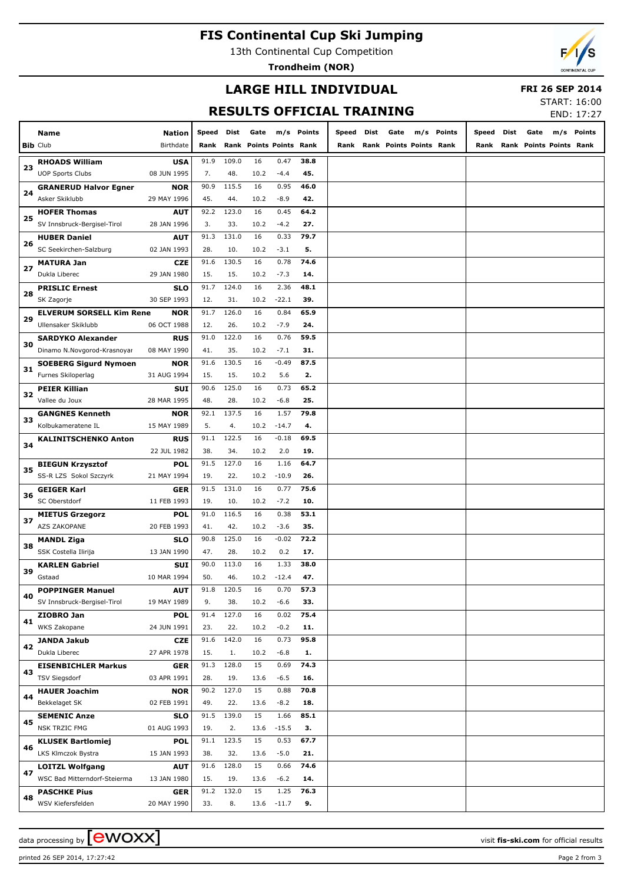# **FIS Continental Cup Ski Jumping**

13th Continental Cup Competition

**Trondheim (NOR)**



## **LARGE HILL INDIVIDUAL**

#### **FRI 26 SEP 2014**

# **RESULTS OFFICIAL TRAINING**

START: 16:00 END: 17:27

|    |                                 |                            |               |       |                                 |         |               |               |      |                                 |     |               |               |      |                                 | LIVU. 17.27 |
|----|---------------------------------|----------------------------|---------------|-------|---------------------------------|---------|---------------|---------------|------|---------------------------------|-----|---------------|---------------|------|---------------------------------|-------------|
|    | Name<br><b>Bib Club</b>         | <b>Nation</b><br>Birthdate | Speed<br>Rank | Dist  | Gate<br>Rank Points Points Rank | m/s     | <b>Points</b> | Speed<br>Rank | Dist | Gate<br>Rank Points Points Rank | m/s | <b>Points</b> | Speed<br>Rank | Dist | Gate<br>Rank Points Points Rank | m/s Points  |
|    |                                 |                            |               |       |                                 |         |               |               |      |                                 |     |               |               |      |                                 |             |
| 23 | <b>RHOADS William</b>           | <b>USA</b>                 | 91.9          | 109.0 | 16                              | 0.47    | 38.8          |               |      |                                 |     |               |               |      |                                 |             |
|    | <b>UOP Sports Clubs</b>         | 08 JUN 1995                | 7.            | 48.   | 10.2                            | $-4.4$  | 45.           |               |      |                                 |     |               |               |      |                                 |             |
| 24 | <b>GRANERUD Halvor Egner</b>    | NOR                        | 90.9          | 115.5 | 16                              | 0.95    | 46.0          |               |      |                                 |     |               |               |      |                                 |             |
|    | Asker Skiklubb                  | 29 MAY 1996                | 45.           | 44.   | 10.2                            | $-8.9$  | 42.           |               |      |                                 |     |               |               |      |                                 |             |
| 25 | <b>HOFER Thomas</b>             | <b>AUT</b>                 | 92.2          | 123.0 | 16                              | 0.45    | 64.2          |               |      |                                 |     |               |               |      |                                 |             |
|    | SV Innsbruck-Bergisel-Tirol     | 28 JAN 1996                | 3.            | 33.   | 10.2                            | $-4.2$  | 27.           |               |      |                                 |     |               |               |      |                                 |             |
| 26 | <b>HUBER Daniel</b>             | <b>AUT</b>                 | 91.3          | 131.0 | 16                              | 0.33    | 79.7          |               |      |                                 |     |               |               |      |                                 |             |
|    | SC Seekirchen-Salzburg          | 02 JAN 1993                | 28.           | 10.   | 10.2                            | $-3.1$  | 5.            |               |      |                                 |     |               |               |      |                                 |             |
| 27 | <b>MATURA Jan</b>               | <b>CZE</b>                 | 91.6          | 130.5 | 16                              | 0.78    | 74.6          |               |      |                                 |     |               |               |      |                                 |             |
|    | Dukla Liberec                   | 29 JAN 1980                | 15.           | 15.   | 10.2                            | $-7.3$  | 14.           |               |      |                                 |     |               |               |      |                                 |             |
| 28 | <b>PRISLIC Ernest</b>           | <b>SLO</b>                 | 91.7          | 124.0 | 16                              | 2.36    | 48.1          |               |      |                                 |     |               |               |      |                                 |             |
|    | SK Zagorje                      | 30 SEP 1993                | 12.           | 31.   | 10.2                            | $-22.1$ | 39.           |               |      |                                 |     |               |               |      |                                 |             |
| 29 | <b>ELVERUM SORSELL Kim Rene</b> | <b>NOR</b>                 | 91.7          | 126.0 | 16                              | 0.84    | 65.9          |               |      |                                 |     |               |               |      |                                 |             |
|    | Ullensaker Skiklubb             | 06 OCT 1988                | 12.           | 26.   | 10.2                            | $-7.9$  | 24.           |               |      |                                 |     |               |               |      |                                 |             |
| 30 | <b>SARDYKO Alexander</b>        | <b>RUS</b>                 | 91.0          | 122.0 | 16                              | 0.76    | 59.5          |               |      |                                 |     |               |               |      |                                 |             |
|    | Dinamo N.Novgorod-Krasnoyar     | 08 MAY 1990                | 41.           | 35.   | 10.2                            | $-7.1$  | 31.           |               |      |                                 |     |               |               |      |                                 |             |
| 31 | <b>SOEBERG Sigurd Nymoen</b>    | NOR                        | 91.6          | 130.5 | 16                              | $-0.49$ | 87.5          |               |      |                                 |     |               |               |      |                                 |             |
|    | Furnes Skiloperlag              | 31 AUG 1994                | 15.           | 15.   | 10.2                            | 5.6     | 2.            |               |      |                                 |     |               |               |      |                                 |             |
|    | <b>PEIER Killian</b>            | <b>SUI</b>                 | 90.6          | 125.0 | 16                              | 0.73    | 65.2          |               |      |                                 |     |               |               |      |                                 |             |
| 32 | Vallee du Joux                  | 28 MAR 1995                | 48.           | 28.   | 10.2                            | $-6.8$  | 25.           |               |      |                                 |     |               |               |      |                                 |             |
|    | <b>GANGNES Kenneth</b>          | <b>NOR</b>                 | 92.1          | 137.5 | 16                              | 1.57    | 79.8          |               |      |                                 |     |               |               |      |                                 |             |
| 33 | Kolbukameratene IL              | 15 MAY 1989                | 5.            | 4.    | 10.2                            | $-14.7$ | 4.            |               |      |                                 |     |               |               |      |                                 |             |
|    | KALINITSCHENKO Anton            | <b>RUS</b>                 | 91.1          | 122.5 | 16                              | $-0.18$ | 69.5          |               |      |                                 |     |               |               |      |                                 |             |
| 34 |                                 | 22 JUL 1982                | 38.           | 34.   | 10.2                            | 2.0     | 19.           |               |      |                                 |     |               |               |      |                                 |             |
|    | <b>BIEGUN Krzysztof</b>         | POL                        | 91.5          | 127.0 | 16                              | 1.16    | 64.7          |               |      |                                 |     |               |               |      |                                 |             |
| 35 | SS-R LZS Sokol Szczyrk          | 21 MAY 1994                | 19.           | 22.   | 10.2                            | $-10.9$ | 26.           |               |      |                                 |     |               |               |      |                                 |             |
|    | <b>GEIGER Karl</b>              | <b>GER</b>                 | 91.5          | 131.0 | 16                              | 0.77    | 75.6          |               |      |                                 |     |               |               |      |                                 |             |
| 36 | SC Oberstdorf                   | 11 FEB 1993                | 19.           | 10.   | 10.2                            | $-7.2$  | 10.           |               |      |                                 |     |               |               |      |                                 |             |
|    | <b>MIETUS Grzegorz</b>          | POL                        | 91.0          | 116.5 | 16                              | 0.38    | 53.1          |               |      |                                 |     |               |               |      |                                 |             |
| 37 | AZS ZAKOPANE                    | 20 FEB 1993                | 41.           | 42.   | 10.2                            | $-3.6$  | 35.           |               |      |                                 |     |               |               |      |                                 |             |
|    | <b>MANDL Ziga</b>               | <b>SLO</b>                 | 90.8          | 125.0 | 16                              | $-0.02$ | 72.2          |               |      |                                 |     |               |               |      |                                 |             |
| 38 | SSK Costella Ilirija            | 13 JAN 1990                | 47.           | 28.   | 10.2                            | 0.2     | 17.           |               |      |                                 |     |               |               |      |                                 |             |
|    | <b>KARLEN Gabriel</b>           | <b>SUI</b>                 | 90.0          | 113.0 | 16                              | 1.33    | 38.0          |               |      |                                 |     |               |               |      |                                 |             |
| 39 | Gstaad                          | 10 MAR 1994                | 50.           | 46.   | 10.2                            | $-12.4$ | 47.           |               |      |                                 |     |               |               |      |                                 |             |
|    | <b>POPPINGER Manuel</b>         | <b>AUT</b>                 | 91.8          | 120.5 | 16                              | 0.70    | 57.3          |               |      |                                 |     |               |               |      |                                 |             |
| 40 | SV Innsbruck-Bergisel-Tirol     | 19 MAY 1989                | 9.            | 38.   | 10.2                            | $-6.6$  | 33.           |               |      |                                 |     |               |               |      |                                 |             |
|    | ZIOBRO Jan                      | <b>POL</b>                 | 91.4          | 127.0 | 16                              | 0.02    | 75.4          |               |      |                                 |     |               |               |      |                                 |             |
| 41 | WKS Zakopane                    | 24 JUN 1991                | 23.           | 22.   | 10.2                            | $-0.2$  | 11.           |               |      |                                 |     |               |               |      |                                 |             |
|    | <b>JANDA Jakub</b>              | <b>CZE</b>                 | 91.6          | 142.0 | 16                              | 0.73    | 95.8          |               |      |                                 |     |               |               |      |                                 |             |
| 42 | Dukla Liberec                   | 27 APR 1978                | 15.           | 1.    | 10.2                            | $-6.8$  | 1.            |               |      |                                 |     |               |               |      |                                 |             |
|    | <b>EISENBICHLER Markus</b>      | <b>GER</b>                 | 91.3          | 128.0 | 15                              | 0.69    | 74.3          |               |      |                                 |     |               |               |      |                                 |             |
| 43 | <b>TSV Siegsdorf</b>            | 03 APR 1991                | 28.           | 19.   | 13.6                            | $-6.5$  | 16.           |               |      |                                 |     |               |               |      |                                 |             |
|    | <b>HAUER Joachim</b>            | <b>NOR</b>                 | 90.2          | 127.0 | 15                              | 0.88    | 70.8          |               |      |                                 |     |               |               |      |                                 |             |
| 44 | Bekkelaget SK                   | 02 FEB 1991                | 49.           | 22.   | 13.6                            | $-8.2$  | 18.           |               |      |                                 |     |               |               |      |                                 |             |
|    | <b>SEMENIC Anze</b>             | <b>SLO</b>                 | 91.5          | 139.0 | 15                              | 1.66    | 85.1          |               |      |                                 |     |               |               |      |                                 |             |
| 45 | NSK TRZIC FMG                   | 01 AUG 1993                | 19.           | 2.    | 13.6                            | $-15.5$ | 3.            |               |      |                                 |     |               |               |      |                                 |             |
|    | <b>KLUSEK Bartlomiej</b>        | <b>POL</b>                 | 91.1          | 123.5 | 15                              | 0.53    | 67.7          |               |      |                                 |     |               |               |      |                                 |             |
| 46 | LKS Klmczok Bystra              | 15 JAN 1993                | 38.           | 32.   | 13.6                            | $-5.0$  | 21.           |               |      |                                 |     |               |               |      |                                 |             |
|    | <b>LOITZL Wolfgang</b>          | <b>AUT</b>                 | 91.6          | 128.0 | 15                              | 0.66    | 74.6          |               |      |                                 |     |               |               |      |                                 |             |
| 47 | WSC Bad Mitterndorf-Steierma    | 13 JAN 1980                | 15.           | 19.   | 13.6                            | $-6.2$  | 14.           |               |      |                                 |     |               |               |      |                                 |             |
|    | <b>PASCHKE Pius</b>             | <b>GER</b>                 | 91.2          | 132.0 | 15                              | 1.25    | 76.3          |               |      |                                 |     |               |               |      |                                 |             |
| 48 | WSV Kiefersfelden               | 20 MAY 1990                | 33.           | 8.    | 13.6                            | $-11.7$ | 9.            |               |      |                                 |     |               |               |      |                                 |             |
|    |                                 |                            |               |       |                                 |         |               |               |      |                                 |     |               |               |      |                                 |             |

data processing by **CWOXX** and  $\overline{C}$  and  $\overline{C}$  and  $\overline{C}$  and  $\overline{C}$  and  $\overline{C}$  and  $\overline{C}$  and  $\overline{C}$  and  $\overline{C}$  and  $\overline{C}$  and  $\overline{C}$  and  $\overline{C}$  and  $\overline{C}$  and  $\overline{C}$  and  $\overline{C}$  and  $\overline{C}$